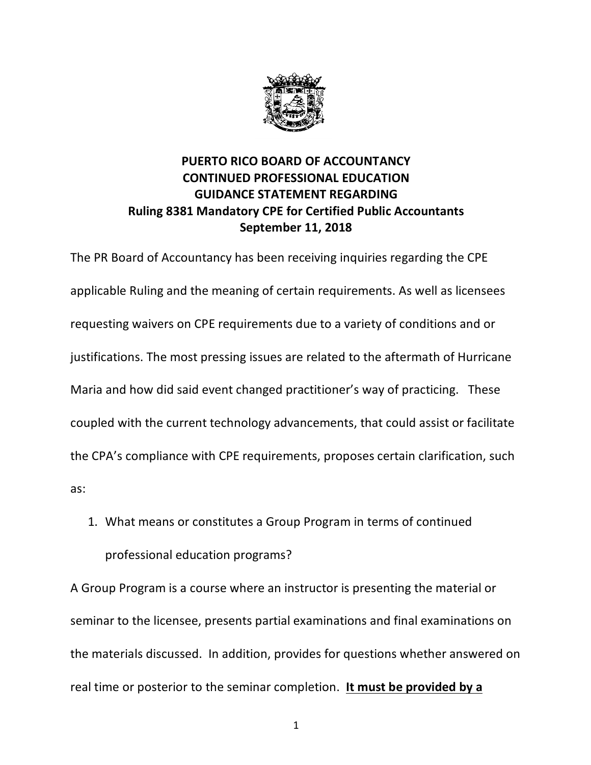

## **PUERTO RICO BOARD OF ACCOUNTANCY CONTINUED PROFESSIONAL EDUCATION GUIDANCE STATEMENT REGARDING Ruling 8381 Mandatory CPE for Certified Public Accountants September 11, 2018**

The PR Board of Accountancy has been receiving inquiries regarding the CPE applicable Ruling and the meaning of certain requirements. As well as licensees requesting waivers on CPE requirements due to a variety of conditions and or justifications. The most pressing issues are related to the aftermath of Hurricane Maria and how did said event changed practitioner's way of practicing. These coupled with the current technology advancements, that could assist or facilitate the CPA's compliance with CPE requirements, proposes certain clarification, such as:

1. What means or constitutes a Group Program in terms of continued professional education programs?

A Group Program is a course where an instructor is presenting the material or seminar to the licensee, presents partial examinations and final examinations on the materials discussed. In addition, provides for questions whether answered on real time or posterior to the seminar completion. **It must be provided by a**